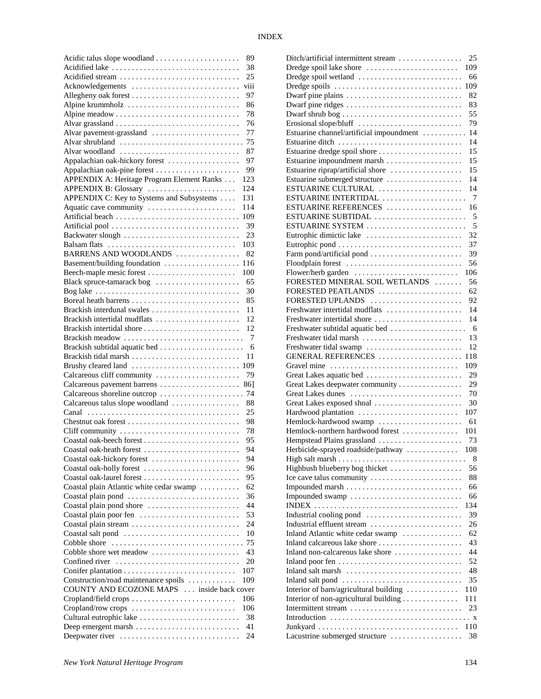| Acidic talus slope woodland                                                      | 89       |
|----------------------------------------------------------------------------------|----------|
| Acidified lake                                                                   | 38       |
| Acidified stream                                                                 | 25       |
| Acknowledgements                                                                 | viii     |
|                                                                                  | 97       |
| Alpine krummholz                                                                 | 86       |
|                                                                                  | 78       |
|                                                                                  | 76       |
| Alvar pavement-grassland                                                         | 77       |
| Alvar shrubland                                                                  | 75       |
| Alvar woodland                                                                   | 87       |
| Appalachian oak-hickory forest                                                   | 97       |
| Appalachian oak-pine forest                                                      | 99       |
| APPENDIX A: Heritage Program Element Ranks                                       | 123      |
| APPENDIX B: Glossary                                                             | 124      |
| APPENDIX C: Key to Systems and Subsystems                                        | 131      |
| Aquatic cave community                                                           | 114      |
|                                                                                  | 109      |
|                                                                                  | 39       |
| Backwater slough                                                                 | 23       |
| Balsam flats                                                                     | 103      |
| BARRENS AND WOODLANDS                                                            | 82       |
| Basement/building foundation                                                     | 116      |
| Beech-maple mesic forest                                                         | 100      |
| Black spruce-tamarack bog                                                        | 65       |
| Bog lake $\ldots \ldots \ldots \ldots \ldots \ldots \ldots \ldots \ldots \ldots$ | 30       |
| Boreal heath barrens                                                             | 85       |
| Brackish interdunal swales                                                       | 11       |
| Brackish intertidal mudflats                                                     | 12       |
| Brackish intertidal shore                                                        | 12       |
| Brackish meadow                                                                  | 7        |
| Brackish subtidal aquatic bed                                                    | - 6      |
|                                                                                  |          |
|                                                                                  |          |
| Brackish tidal marsh                                                             | 11       |
| Brushy cleared land                                                              | 109      |
| Calcareous cliff community                                                       | 79       |
| Calcareous pavement barrens                                                      | 861      |
|                                                                                  |          |
| Calcareous talus slope woodland                                                  | 88       |
|                                                                                  | 25       |
|                                                                                  | 98       |
| Cliff community                                                                  | 78       |
|                                                                                  | 95       |
| Coastal oak-heath forest                                                         | 94       |
| Coastal oak-hickory forest                                                       | 94       |
| Coastal oak-holly forest                                                         | 96       |
|                                                                                  | 95       |
| Coastal plain Atlantic white cedar swamp                                         | 62       |
| Coastal plain pond                                                               | 36       |
| Coastal plain pond shore                                                         | 44       |
| Coastal plain poor fen                                                           | 53       |
| Coastal plain stream                                                             | 24       |
| Coastal salt pond                                                                | 10       |
| Cobble shore                                                                     | 75       |
| Cobble shore wet meadow                                                          | 43       |
| Confined river                                                                   | 20       |
|                                                                                  | 107      |
| Construction/road maintenance spoils                                             | 109      |
| COUNTY AND ECOZONE MAPS  inside back cover                                       |          |
| Cropland/field crops                                                             | 106      |
| Cropland/row crops                                                               | 106      |
| Cultural eutrophic lake                                                          | 38       |
| Deepwater river                                                                  | 41<br>24 |

| Ditch/artificial intermittent stream                                          | 25  |
|-------------------------------------------------------------------------------|-----|
| Dredge spoil lake shore                                                       | 109 |
| Dredge spoil wetland                                                          | 66  |
| Dredge spoils                                                                 | 109 |
| Dwarf pine plains $\dots \dots \dots \dots \dots \dots \dots \dots \dots$     | 82  |
|                                                                               | 83  |
| Dwarf shrub bog                                                               | 55  |
|                                                                               | 79  |
| Estuarine channel/artificial impoundment                                      | 14  |
| Estuarine ditch                                                               | 14  |
| Estuarine dredge spoil shore                                                  | 15  |
| Estuarine impoundment marsh                                                   | 15  |
| Estuarine riprap/artificial shore $\ldots \ldots \ldots \ldots \ldots$        | 15  |
| Estuarine submerged structure                                                 | 14  |
| ESTUARINE CULTURAL                                                            | 14  |
| ESTUARINE INTERTIDAL                                                          | 7   |
| ESTUARINE REFERENCES                                                          | 16  |
| ESTUARINE SUBTIDAL                                                            | 5   |
| ESTUARINE SYSTEM                                                              | 5   |
| Eutrophic dimictic lake                                                       | 32  |
| Eutrophic pond                                                                | 37  |
| Farm pond/artificial pond                                                     | 39  |
| Floodplain forest                                                             | 56  |
| Flower/herb garden                                                            | 106 |
| FORESTED MINERAL SOIL WETLANDS                                                | 56  |
| FORESTED PEATLANDS                                                            | 62  |
| FORESTED UPLANDS                                                              | 92  |
| Freshwater intertidal mudflats                                                | 14  |
| Freshwater intertidal shore                                                   | 14  |
| Freshwater subtidal aquatic bed                                               | - 6 |
| Freshwater tidal marsh                                                        | 13  |
| Freshwater tidal swamp                                                        | 12  |
| GENERAL REFERENCES                                                            | 118 |
| Gravel mine                                                                   | 109 |
| Great Lakes aquatic bed                                                       | 29  |
| Great Lakes deepwater community                                               | 29  |
| Great Lakes dunes                                                             | 70  |
| Great Lakes exposed shoal                                                     | 30  |
| Hardwood plantation                                                           | 107 |
|                                                                               | 61  |
| Hemlock-hardwood swamp                                                        |     |
| Hemlock-northern hardwood forest                                              | 101 |
| Hempstead Plains grassland                                                    | 73  |
| Herbicide-sprayed roadside/pathway                                            | 108 |
|                                                                               | 8   |
| Highbush blueberry bog thicket                                                | 56  |
| Ice cave talus community                                                      | 88  |
|                                                                               | 66  |
| Impounded swamp                                                               | 66  |
|                                                                               | 134 |
| Industrial cooling pond                                                       | 39  |
| Industrial effluent stream                                                    | 26  |
| Inland Atlantic white cedar swamp                                             | 62  |
| Inland calcareous lake shore                                                  | 43  |
| Inland non-calcareous lake shore                                              | 44  |
| Inland poor fen $\dots \dots \dots \dots \dots \dots \dots \dots \dots \dots$ | 52  |
| Inland salt marsh $\dots\dots\dots\dots\dots\dots\dots\dots\dots\dots\dots$   | 48  |
| Inland salt pond                                                              | 35  |
| Interior of barn/agricultural building                                        | 110 |
| Interior of non-agricultural building                                         | 111 |
| Intermittent stream                                                           | 23  |
|                                                                               |     |
|                                                                               | 110 |
| Lacustrine submerged structure                                                | 38  |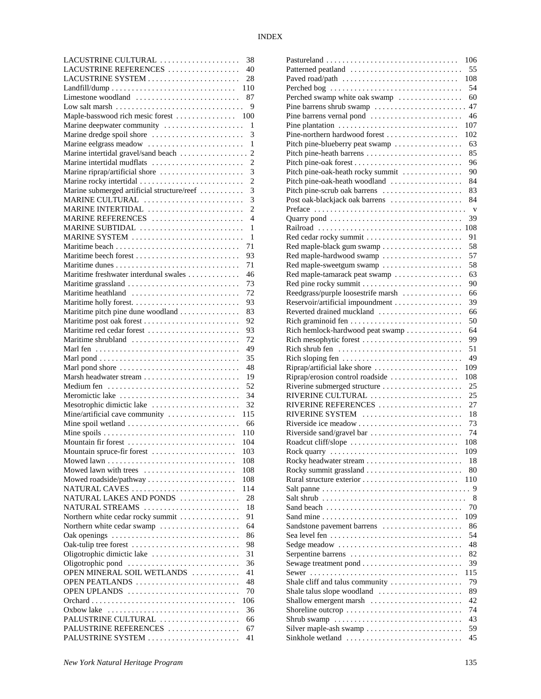| LACUSTRINE CULTURAL                                 | 38                       |
|-----------------------------------------------------|--------------------------|
| LACUSTRINE REFERENCES                               | 40                       |
| LACUSTRINE SYSTEM                                   | 28                       |
|                                                     | 110                      |
| Limestone woodland                                  | 87                       |
|                                                     | 9                        |
| Maple-basswood rich mesic forest                    | 100                      |
| Marine deepwater community                          | 1                        |
| Marine dredge spoil shore                           | 3                        |
| Marine eelgrass meadow                              | 1                        |
| Marine intertidal gravel/sand beach                 | $\overline{c}$           |
| Marine intertidal mudflats                          | $\overline{2}$           |
| Marine riprap/artificial shore                      | 3                        |
| Marine rocky intertidal                             | $\overline{c}$           |
| Marine submerged artificial structure/reef          | $\overline{3}$           |
| MARINE CULTURAL                                     | 3                        |
| MARINE INTERTIDAL                                   | $\overline{c}$           |
| MARINE REFERENCES                                   | $\overline{\mathcal{A}}$ |
| MARINE SUBTIDAL                                     | 1                        |
| MARINE SYSTEM                                       | 1                        |
|                                                     | 71                       |
|                                                     | 93                       |
|                                                     | 71                       |
| Maritime freshwater interdunal swales               | 46                       |
| Maritime grassland                                  | 73                       |
|                                                     |                          |
| Maritime heathland                                  | 72                       |
|                                                     | 93                       |
| Maritime pitch pine dune woodland                   | 83                       |
| Maritime post oak forest                            | 92                       |
| Maritime red cedar forest                           | 93                       |
| Maritime shrubland                                  | 72                       |
|                                                     | 49                       |
|                                                     | 35                       |
| Marl pond shore                                     | 48                       |
| Marsh headwater stream                              | 19                       |
| Medium fen                                          | 52                       |
| Meromictic lake                                     | 34                       |
| Mesotrophic dimictic lake                           | 32                       |
| Mine/artificial cave community                      | 115                      |
| Mine spoil wetland                                  | 66                       |
|                                                     | 110                      |
| Mountain fir forest                                 | 104                      |
| Mountain spruce-fir forest                          | 103                      |
|                                                     | 108                      |
| Mowed lawn with trees                               | 108                      |
| Mowed roadside/pathway                              | 108                      |
| NATURAL CAVES                                       | 114                      |
| NATURAL LAKES AND PONDS                             | 28                       |
| NATURAL STREAMS                                     | 18                       |
| Northern white cedar rocky summit                   | 91                       |
| Northern white cedar swamp                          | 64                       |
| Oak openings                                        | 86                       |
|                                                     | 98                       |
| Oak-tulip tree forest<br>Oligotrophic dimictic lake | 31                       |
| Oligotrophic pond                                   | 36                       |
|                                                     |                          |
| OPEN MINERAL SOIL WETLANDS                          | 41                       |
| OPEN PEATLANDS                                      | 48                       |
| OPEN UPLANDS                                        | 70                       |
|                                                     | 106                      |
| Oxbow lake                                          | 36                       |
| PALUSTRINE CULTURAL                                 | 66                       |
| PALUSTRINE REFERENCES                               | 67                       |
| PALUSTRINE SYSTEM                                   | 41                       |

|                                                                        | 106          |
|------------------------------------------------------------------------|--------------|
| Patterned peatland                                                     | 55           |
| Paved road/path                                                        | 108          |
| Perched bog                                                            | 54           |
| Perched swamp white oak swamp                                          | 60           |
| Pine barrens shrub swamp                                               | 47           |
| Pine barrens vernal pond                                               | 46           |
| Pine plantation                                                        | 107          |
| Pine-northern hardwood forest                                          | 102          |
| Pitch pine-blueberry peat swamp                                        | 63           |
| Pitch pine-heath barrens                                               | 85           |
|                                                                        | 96           |
| Pitch pine-oak-heath rocky summit                                      | 90           |
| Pitch pine-oak-heath woodland                                          | 84           |
| Pitch pine-scrub oak barrens                                           | 83           |
| Post oak-blackjack oak barrens                                         | 84           |
|                                                                        | $\mathbf{V}$ |
|                                                                        | 39           |
|                                                                        | 108          |
| Red cedar rocky summit                                                 | 91           |
|                                                                        |              |
|                                                                        | 58           |
| Red maple-hardwood swamp                                               | 57           |
| Red maple-sweetgum swamp                                               | 58           |
| Red maple-tamarack peat swamp                                          | 63           |
|                                                                        | 90           |
| Reedgrass/purple loosestrife marsh                                     | 66           |
| Reservoir/artificial impoundment                                       | 39           |
| Reverted drained muckland                                              | 66           |
|                                                                        | 50           |
| Rich hemlock-hardwood peat swamp                                       | 64           |
| Rich mesophytic forest                                                 | 99           |
| Rich shrub fen                                                         | 51           |
| Rich sloping fen                                                       | 49           |
| Riprap/artificial lake shore                                           | 109          |
| Riprap/erosion control roadside                                        | 108          |
| Riverine submerged structure                                           | 25           |
| RIVERINE CULTURAL                                                      | 25           |
| RIVERINE REFERENCES                                                    | 27           |
| RIVERINE SYSTEM                                                        | 18           |
|                                                                        | 73           |
| Riverside sand/gravel bar                                              | 74           |
| Roadcut cliff/slope $\ldots \ldots \ldots \ldots \ldots \ldots \ldots$ | 108          |
|                                                                        | 109          |
|                                                                        | 18           |
|                                                                        | 80           |
| Rural structure exterior                                               | 110          |
|                                                                        |              |
|                                                                        | 8            |
| Sand beach                                                             | 70           |
|                                                                        |              |
|                                                                        | 109          |
| Sandstone pavement barrens                                             | 86           |
|                                                                        | 54           |
| Sedge meadow                                                           | 48           |
| Serpentine barrens                                                     | 82           |
|                                                                        | 39           |
|                                                                        | 115          |
| Shale cliff and talus community                                        | 79           |
| Shale talus slope woodland                                             | 89           |
| Shallow emergent marsh                                                 | 42           |
| Shoreline outcrop                                                      | 74           |
|                                                                        | 43           |
| Silver maple-ash swamp                                                 | 59           |
| Sinkhole wetland                                                       | 45           |
|                                                                        |              |